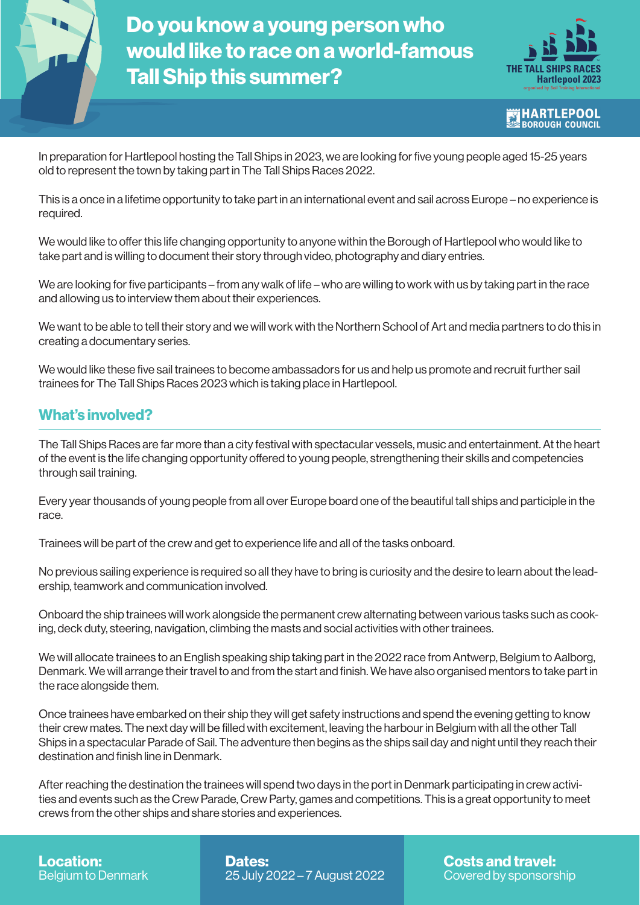

Do you know a young person who would like to race on a world-famous Tall Ship this summer?



**HARTLEPOOL BOROUGH COUNCIL** 

In preparation for Hartlepool hosting the Tall Ships in 2023, we are looking for five young people aged 15-25 years old to represent the town by taking part in The Tall Ships Races 2022.

This is a once in a lifetime opportunity to take part in an international event and sail across Europe – no experience is required.

We would like to offer this life changing opportunity to anyone within the Borough of Hartlepool who would like to take part and is willing to document their story through video, photography and diary entries.

We are looking for five participants – from any walk of life – who are willing to work with us by taking part in the race and allowing us to interview them about their experiences.

We want to be able to tell their story and we will work with the Northern School of Art and media partners to do this in creating a documentary series.

We would like these five sail trainees to become ambassadors for us and help us promote and recruit further sail trainees for The Tall Ships Races 2023 which is taking place in Hartlepool.

## What's involved?

The Tall Ships Races are far more than a city festival with spectacular vessels, music and entertainment. At the heart of the event is the life changing opportunity offered to young people, strengthening their skills and competencies through sail training.

Every year thousands of young people from all over Europe board one of the beautiful tall ships and participle in the race.

Trainees will be part of the crew and get to experience life and all of the tasks onboard.

No previous sailing experience is required so all they have to bring is curiosity and the desire to learn about the leadership, teamwork and communication involved.

Onboard the ship trainees will work alongside the permanent crew alternating between various tasks such as cooking, deck duty, steering, navigation, climbing the masts and social activities with other trainees.

We will allocate trainees to an English speaking ship taking part in the 2022 race from Antwerp, Belgium to Aalborg, Denmark. We will arrange their travel to and from the start and finish. We have also organised mentors to take part in the race alongside them.

Once trainees have embarked on their ship they will get safety instructions and spend the evening getting to know their crew mates. The next day will be filled with excitement, leaving the harbour in Belgium with all the other Tall Ships in a spectacular Parade of Sail. The adventure then begins as the ships sail day and night until they reach their destination and finish line in Denmark.

After reaching the destination the trainees will spend two days in the port in Denmark participating in crew activities and events such as the Crew Parade, Crew Party, games and competitions. This is a great opportunity to meet crews from the other ships and share stories and experiences.

Location: Belgium to Denmark Dates: 25 July 2022 – 7 August 2022 Costs and travel: Covered by sponsorship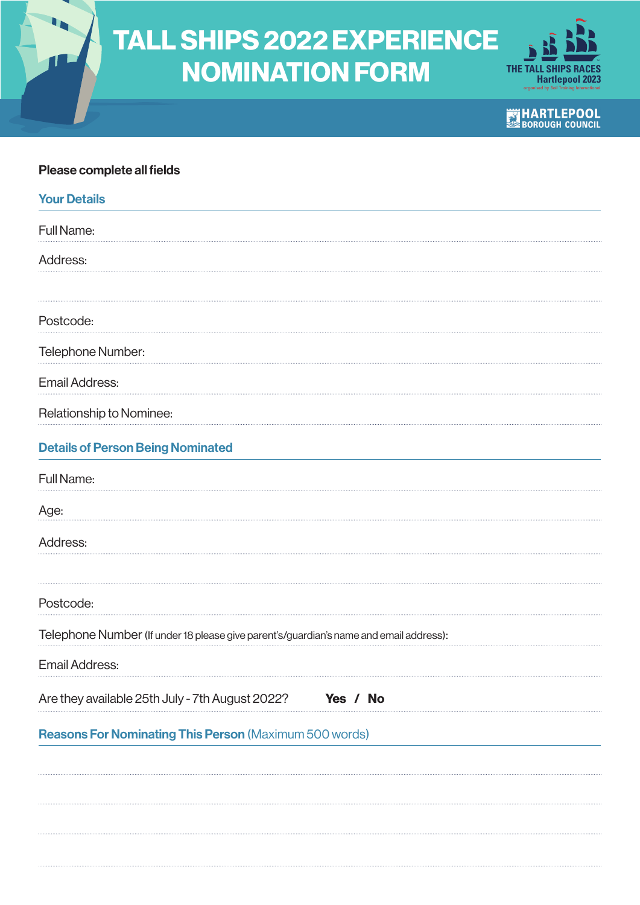

## TALL SHIPS 2022 EXPERIENCE NOMINATION FORM



**EXTREMARTLEPOOL** 

## Please complete all fields

| <b>Your Details</b>                                                                    |
|----------------------------------------------------------------------------------------|
| Full Name:                                                                             |
| Address:                                                                               |
|                                                                                        |
| Postcode:                                                                              |
| Telephone Number:                                                                      |
| <b>Email Address:</b>                                                                  |
| Relationship to Nominee:                                                               |
| <b>Details of Person Being Nominated</b>                                               |
| Full Name:                                                                             |
| Age:                                                                                   |
| Address:                                                                               |
|                                                                                        |
| Postcode:                                                                              |
| Telephone Number (If under 18 please give parent's/guardian's name and email address): |
| <b>Email Address:</b>                                                                  |
| Are they available 25th July - 7th August 2022?<br>Yes / No                            |
| <b>Reasons For Nominating This Person (Maximum 500 words)</b>                          |
|                                                                                        |
|                                                                                        |
|                                                                                        |